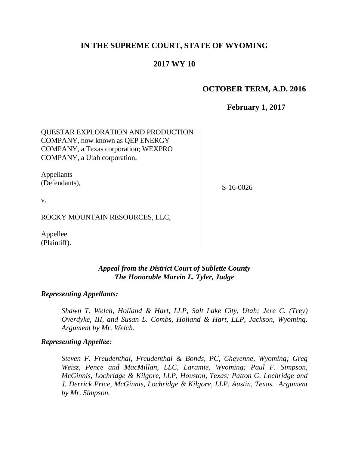# **IN THE SUPREME COURT, STATE OF WYOMING**

# **2017 WY 10**

## **OCTOBER TERM, A.D. 2016**

**February 1, 2017**

QUESTAR EXPLORATION AND PRODUCTION COMPANY, now known as QEP ENERGY COMPANY, a Texas corporation; WEXPRO COMPANY, a Utah corporation;

Appellants (Defendants),

S-16-0026

v.

ROCKY MOUNTAIN RESOURCES, LLC,

Appellee (Plaintiff).

### *Appeal from the District Court of Sublette County The Honorable Marvin L. Tyler, Judge*

*Representing Appellants:*

*Shawn T. Welch, Holland & Hart, LLP, Salt Lake City, Utah; Jere C. (Trey) Overdyke, III, and Susan L. Combs, Holland & Hart, LLP, Jackson, Wyoming. Argument by Mr. Welch.*

#### *Representing Appellee:*

*Steven F. Freudenthal, Freudenthal & Bonds, PC, Cheyenne, Wyoming; Greg Weisz, Pence and MacMillan, LLC, Laramie, Wyoming; Paul F. Simpson, McGinnis, Lochridge & Kilgore, LLP, Houston, Texas; Patton G. Lochridge and J. Derrick Price, McGinnis, Lochridge & Kilgore, LLP, Austin, Texas. Argument by Mr. Simpson.*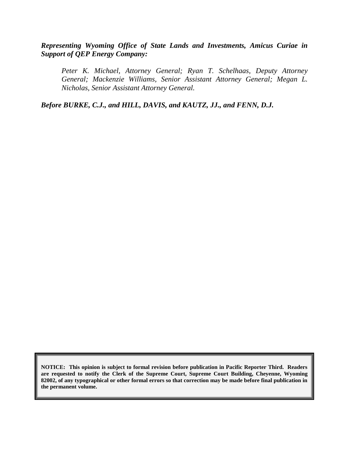*Representing Wyoming Office of State Lands and Investments, Amicus Curiae in Support of QEP Energy Company:*

*Peter K. Michael, Attorney General; Ryan T. Schelhaas, Deputy Attorney General; Mackenzie Williams, Senior Assistant Attorney General; Megan L. Nicholas, Senior Assistant Attorney General.*

*Before BURKE, C.J., and HILL, DAVIS, and KAUTZ, JJ., and FENN, D.J.*

**NOTICE: This opinion is subject to formal revision before publication in Pacific Reporter Third. Readers are requested to notify the Clerk of the Supreme Court, Supreme Court Building, Cheyenne, Wyoming 82002, of any typographical or other formal errors so that correction may be made before final publication in the permanent volume.**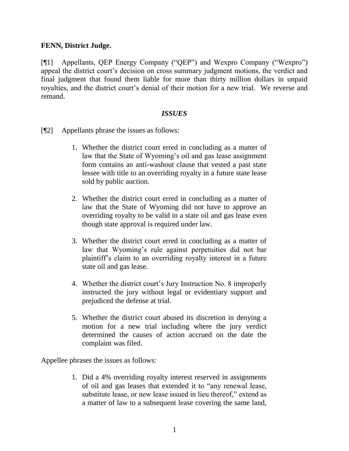### **FENN, District Judge.**

[¶1] Appellants, QEP Energy Company ("QEP") and Wexpro Company ("Wexpro") appeal the district court's decision on cross summary judgment motions, the verdict and final judgment that found them liable for more than thirty million dollars in unpaid royalties, and the district court's denial of their motion for a new trial. We reverse and remand.

### *ISSUES*

- [¶2] Appellants phrase the issues as follows:
	- 1. Whether the district court erred in concluding as a matter of law that the State of Wyoming's oil and gas lease assignment form contains an anti-washout clause that vested a past state lessee with title to an overriding royalty in a future state lease sold by public auction.
	- 2. Whether the district court erred in concluding as a matter of law that the State of Wyoming did not have to approve an overriding royalty to be valid in a state oil and gas lease even though state approval is required under law.
	- 3. Whether the district court erred in concluding as a matter of law that Wyoming's rule against perpetuities did not bar plaintiff's claim to an overriding royalty interest in a future state oil and gas lease.
	- 4. Whether the district court's Jury Instruction No. 8 improperly instructed the jury without legal or evidentiary support and prejudiced the defense at trial.
	- 5. Whether the district court abused its discretion in denying a motion for a new trial including where the jury verdict determined the causes of action accrued on the date the complaint was filed.

Appellee phrases the issues as follows:

1. Did a 4% overriding royalty interest reserved in assignments of oil and gas leases that extended it to "any renewal lease, substitute lease, or new lease issued in lieu thereof," extend as a matter of law to a subsequent lease covering the same land,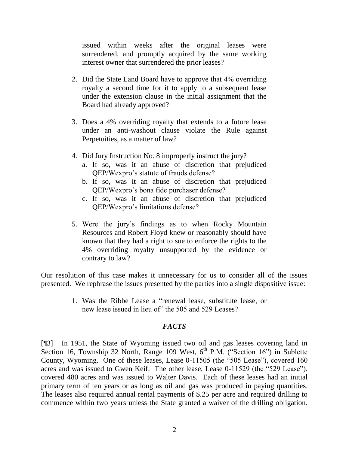issued within weeks after the original leases were surrendered, and promptly acquired by the same working interest owner that surrendered the prior leases?

- 2. Did the State Land Board have to approve that 4% overriding royalty a second time for it to apply to a subsequent lease under the extension clause in the initial assignment that the Board had already approved?
- 3. Does a 4% overriding royalty that extends to a future lease under an anti-washout clause violate the Rule against Perpetuities, as a matter of law?
- 4. Did Jury Instruction No. 8 improperly instruct the jury?
	- a. If so, was it an abuse of discretion that prejudiced QEP/Wexpro's statute of frauds defense?
	- b. If so, was it an abuse of discretion that prejudiced QEP/Wexpro's bona fide purchaser defense?
	- c. If so, was it an abuse of discretion that prejudiced QEP/Wexpro's limitations defense?
- 5. Were the jury's findings as to when Rocky Mountain Resources and Robert Floyd knew or reasonably should have known that they had a right to sue to enforce the rights to the 4% overriding royalty unsupported by the evidence or contrary to law?

Our resolution of this case makes it unnecessary for us to consider all of the issues presented. We rephrase the issues presented by the parties into a single dispositive issue:

> 1. Was the Ribbe Lease a "renewal lease, substitute lease, or new lease issued in lieu of" the 505 and 529 Leases?

### *FACTS*

[¶3] In 1951, the State of Wyoming issued two oil and gas leases covering land in Section 16, Township 32 North, Range 109 West,  $6<sup>th</sup>$  P.M. ("Section 16") in Sublette County, Wyoming. One of these leases, Lease 0-11505 (the "505 Lease"), covered 160 acres and was issued to Gwen Keif. The other lease, Lease 0-11529 (the "529 Lease"), covered 480 acres and was issued to Walter Davis. Each of these leases had an initial primary term of ten years or as long as oil and gas was produced in paying quantities. The leases also required annual rental payments of \$.25 per acre and required drilling to commence within two years unless the State granted a waiver of the drilling obligation.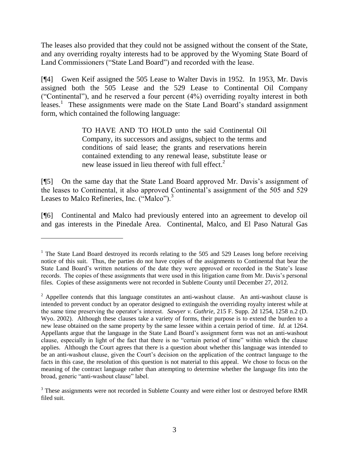The leases also provided that they could not be assigned without the consent of the State, and any overriding royalty interests had to be approved by the Wyoming State Board of Land Commissioners ("State Land Board") and recorded with the lease.

[¶4] Gwen Keif assigned the 505 Lease to Walter Davis in 1952. In 1953, Mr. Davis assigned both the 505 Lease and the 529 Lease to Continental Oil Company ("Continental"), and he reserved a four percent (4%) overriding royalty interest in both leases.<sup>1</sup> These assignments were made on the State Land Board's standard assignment form, which contained the following language:

> TO HAVE AND TO HOLD unto the said Continental Oil Company, its successors and assigns, subject to the terms and conditions of said lease; the grants and reservations herein contained extending to any renewal lease, substitute lease or new lease issued in lieu thereof with full effect.<sup>2</sup>

[¶5] On the same day that the State Land Board approved Mr. Davis's assignment of the leases to Continental, it also approved Continental's assignment of the 505 and 529 Leases to Malco Refineries, Inc. ("Malco").<sup>3</sup>

[¶6] Continental and Malco had previously entered into an agreement to develop oil and gas interests in the Pinedale Area. Continental, Malco, and El Paso Natural Gas

 $1$  The State Land Board destroyed its records relating to the 505 and 529 Leases long before receiving notice of this suit. Thus, the parties do not have copies of the assignments to Continental that bear the State Land Board's written notations of the date they were approved or recorded in the State's lease records. The copies of these assignments that were used in this litigation came from Mr. Davis's personal files. Copies of these assignments were not recorded in Sublette County until December 27, 2012.

 $2\overline{2}$  Appellee contends that this language constitutes an anti-washout clause. An anti-washout clause is intended to prevent conduct by an operator designed to extinguish the overriding royalty interest while at the same time preserving the operator's interest. *Sawyer v. Guthrie*, 215 F. Supp. 2d 1254, 1258 n.2 (D. Wyo. 2002). Although these clauses take a variety of forms, their purpose is to extend the burden to a new lease obtained on the same property by the same lessee within a certain period of time. *Id.* at 1264. Appellants argue that the language in the State Land Board's assignment form was not an anti-washout clause, especially in light of the fact that there is no "certain period of time" within which the clause applies. Although the Court agrees that there is a question about whether this language was intended to be an anti-washout clause, given the Court's decision on the application of the contract language to the facts in this case, the resolution of this question is not material to this appeal. We chose to focus on the meaning of the contract language rather than attempting to determine whether the language fits into the broad, generic "anti-washout clause" label.

<sup>&</sup>lt;sup>3</sup> These assignments were not recorded in Sublette County and were either lost or destroyed before RMR filed suit.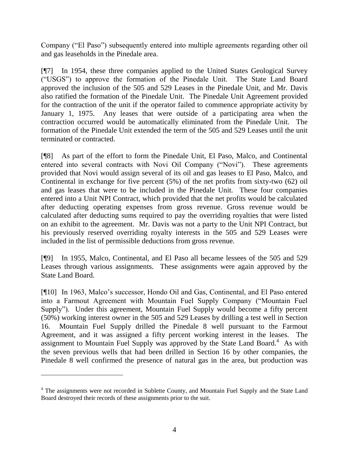Company ("El Paso") subsequently entered into multiple agreements regarding other oil and gas leaseholds in the Pinedale area.

[¶7] In 1954, these three companies applied to the United States Geological Survey ("USGS") to approve the formation of the Pinedale Unit. The State Land Board approved the inclusion of the 505 and 529 Leases in the Pinedale Unit, and Mr. Davis also ratified the formation of the Pinedale Unit. The Pinedale Unit Agreement provided for the contraction of the unit if the operator failed to commence appropriate activity by January 1, 1975. Any leases that were outside of a participating area when the contraction occurred would be automatically eliminated from the Pinedale Unit. The formation of the Pinedale Unit extended the term of the 505 and 529 Leases until the unit terminated or contracted.

[¶8] As part of the effort to form the Pinedale Unit, El Paso, Malco, and Continental entered into several contracts with Novi Oil Company ("Novi"). These agreements provided that Novi would assign several of its oil and gas leases to El Paso, Malco, and Continental in exchange for five percent (5%) of the net profits from sixty-two (62) oil and gas leases that were to be included in the Pinedale Unit. These four companies entered into a Unit NPI Contract, which provided that the net profits would be calculated after deducting operating expenses from gross revenue. Gross revenue would be calculated after deducting sums required to pay the overriding royalties that were listed on an exhibit to the agreement. Mr. Davis was not a party to the Unit NPI Contract, but his previously reserved overriding royalty interests in the 505 and 529 Leases were included in the list of permissible deductions from gross revenue.

[¶9] In 1955, Malco, Continental, and El Paso all became lessees of the 505 and 529 Leases through various assignments. These assignments were again approved by the State Land Board.

[¶10] In 1963, Malco's successor, Hondo Oil and Gas, Continental, and El Paso entered into a Farmout Agreement with Mountain Fuel Supply Company ("Mountain Fuel Supply"). Under this agreement, Mountain Fuel Supply would become a fifty percent (50%) working interest owner in the 505 and 529 Leases by drilling a test well in Section 16. Mountain Fuel Supply drilled the Pinedale 8 well pursuant to the Farmout Agreement, and it was assigned a fifty percent working interest in the leases. The assignment to Mountain Fuel Supply was approved by the State Land Board.<sup>4</sup> As with the seven previous wells that had been drilled in Section 16 by other companies, the Pinedale 8 well confirmed the presence of natural gas in the area, but production was

<sup>&</sup>lt;sup>4</sup> The assignments were not recorded in Sublette County, and Mountain Fuel Supply and the State Land Board destroyed their records of these assignments prior to the suit.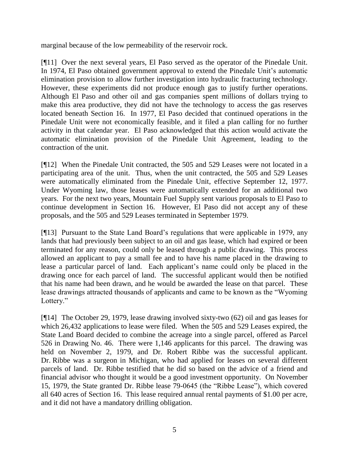marginal because of the low permeability of the reservoir rock.

[¶11] Over the next several years, El Paso served as the operator of the Pinedale Unit. In 1974, El Paso obtained government approval to extend the Pinedale Unit's automatic elimination provision to allow further investigation into hydraulic fracturing technology. However, these experiments did not produce enough gas to justify further operations. Although El Paso and other oil and gas companies spent millions of dollars trying to make this area productive, they did not have the technology to access the gas reserves located beneath Section 16. In 1977, El Paso decided that continued operations in the Pinedale Unit were not economically feasible, and it filed a plan calling for no further activity in that calendar year. El Paso acknowledged that this action would activate the automatic elimination provision of the Pinedale Unit Agreement, leading to the contraction of the unit.

[¶12] When the Pinedale Unit contracted, the 505 and 529 Leases were not located in a participating area of the unit. Thus, when the unit contracted, the 505 and 529 Leases were automatically eliminated from the Pinedale Unit, effective September 12, 1977. Under Wyoming law, those leases were automatically extended for an additional two years. For the next two years, Mountain Fuel Supply sent various proposals to El Paso to continue development in Section 16. However, El Paso did not accept any of these proposals, and the 505 and 529 Leases terminated in September 1979.

[¶13] Pursuant to the State Land Board's regulations that were applicable in 1979, any lands that had previously been subject to an oil and gas lease, which had expired or been terminated for any reason, could only be leased through a public drawing. This process allowed an applicant to pay a small fee and to have his name placed in the drawing to lease a particular parcel of land. Each applicant's name could only be placed in the drawing once for each parcel of land. The successful applicant would then be notified that his name had been drawn, and he would be awarded the lease on that parcel. These lease drawings attracted thousands of applicants and came to be known as the "Wyoming Lottery."

[¶14] The October 29, 1979, lease drawing involved sixty-two (62) oil and gas leases for which 26,432 applications to lease were filed. When the 505 and 529 Leases expired, the State Land Board decided to combine the acreage into a single parcel, offered as Parcel 526 in Drawing No. 46. There were 1,146 applicants for this parcel. The drawing was held on November 2, 1979, and Dr. Robert Ribbe was the successful applicant. Dr. Ribbe was a surgeon in Michigan, who had applied for leases on several different parcels of land. Dr. Ribbe testified that he did so based on the advice of a friend and financial advisor who thought it would be a good investment opportunity. On November 15, 1979, the State granted Dr. Ribbe lease 79-0645 (the "Ribbe Lease"), which covered all 640 acres of Section 16. This lease required annual rental payments of \$1.00 per acre, and it did not have a mandatory drilling obligation.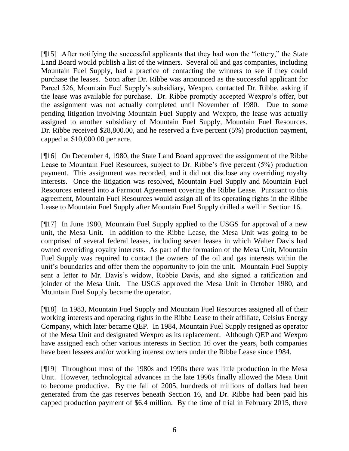[¶15] After notifying the successful applicants that they had won the "lottery," the State Land Board would publish a list of the winners. Several oil and gas companies, including Mountain Fuel Supply, had a practice of contacting the winners to see if they could purchase the leases. Soon after Dr. Ribbe was announced as the successful applicant for Parcel 526, Mountain Fuel Supply's subsidiary, Wexpro, contacted Dr. Ribbe, asking if the lease was available for purchase. Dr. Ribbe promptly accepted Wexpro's offer, but the assignment was not actually completed until November of 1980. Due to some pending litigation involving Mountain Fuel Supply and Wexpro, the lease was actually assigned to another subsidiary of Mountain Fuel Supply, Mountain Fuel Resources. Dr. Ribbe received \$28,800.00, and he reserved a five percent (5%) production payment, capped at \$10,000.00 per acre.

[¶16] On December 4, 1980, the State Land Board approved the assignment of the Ribbe Lease to Mountain Fuel Resources, subject to Dr. Ribbe's five percent (5%) production payment. This assignment was recorded, and it did not disclose any overriding royalty interests. Once the litigation was resolved, Mountain Fuel Supply and Mountain Fuel Resources entered into a Farmout Agreement covering the Ribbe Lease. Pursuant to this agreement, Mountain Fuel Resources would assign all of its operating rights in the Ribbe Lease to Mountain Fuel Supply after Mountain Fuel Supply drilled a well in Section 16.

[¶17] In June 1980, Mountain Fuel Supply applied to the USGS for approval of a new unit, the Mesa Unit. In addition to the Ribbe Lease, the Mesa Unit was going to be comprised of several federal leases, including seven leases in which Walter Davis had owned overriding royalty interests. As part of the formation of the Mesa Unit, Mountain Fuel Supply was required to contact the owners of the oil and gas interests within the unit's boundaries and offer them the opportunity to join the unit. Mountain Fuel Supply sent a letter to Mr. Davis's widow, Robbie Davis, and she signed a ratification and joinder of the Mesa Unit. The USGS approved the Mesa Unit in October 1980, and Mountain Fuel Supply became the operator.

[¶18] In 1983, Mountain Fuel Supply and Mountain Fuel Resources assigned all of their working interests and operating rights in the Ribbe Lease to their affiliate, Celsius Energy Company, which later became QEP. In 1984, Mountain Fuel Supply resigned as operator of the Mesa Unit and designated Wexpro as its replacement. Although QEP and Wexpro have assigned each other various interests in Section 16 over the years, both companies have been lessees and/or working interest owners under the Ribbe Lease since 1984.

[¶19] Throughout most of the 1980s and 1990s there was little production in the Mesa Unit. However, technological advances in the late 1990s finally allowed the Mesa Unit to become productive. By the fall of 2005, hundreds of millions of dollars had been generated from the gas reserves beneath Section 16, and Dr. Ribbe had been paid his capped production payment of \$6.4 million. By the time of trial in February 2015, there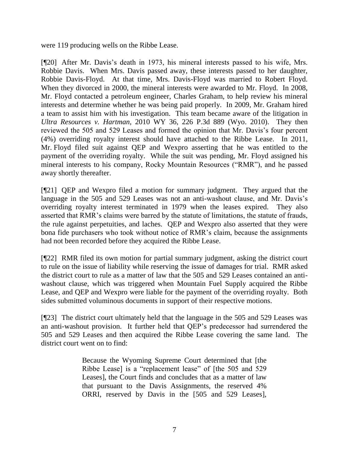were 119 producing wells on the Ribbe Lease.

[¶20] After Mr. Davis's death in 1973, his mineral interests passed to his wife, Mrs. Robbie Davis. When Mrs. Davis passed away, these interests passed to her daughter, Robbie Davis-Floyd. At that time, Mrs. Davis-Floyd was married to Robert Floyd. When they divorced in 2000, the mineral interests were awarded to Mr. Floyd. In 2008, Mr. Floyd contacted a petroleum engineer, Charles Graham, to help review his mineral interests and determine whether he was being paid properly. In 2009, Mr. Graham hired a team to assist him with his investigation. This team became aware of the litigation in *Ultra Resources v. Hartman*, 2010 WY 36, 226 P.3d 889 (Wyo. 2010). They then reviewed the 505 and 529 Leases and formed the opinion that Mr. Davis's four percent (4%) overriding royalty interest should have attached to the Ribbe Lease. In 2011, Mr. Floyd filed suit against QEP and Wexpro asserting that he was entitled to the payment of the overriding royalty. While the suit was pending, Mr. Floyd assigned his mineral interests to his company, Rocky Mountain Resources ("RMR"), and he passed away shortly thereafter.

[¶21] QEP and Wexpro filed a motion for summary judgment. They argued that the language in the 505 and 529 Leases was not an anti-washout clause, and Mr. Davis's overriding royalty interest terminated in 1979 when the leases expired. They also asserted that RMR's claims were barred by the statute of limitations, the statute of frauds, the rule against perpetuities, and laches. QEP and Wexpro also asserted that they were bona fide purchasers who took without notice of RMR's claim, because the assignments had not been recorded before they acquired the Ribbe Lease.

[¶22] RMR filed its own motion for partial summary judgment, asking the district court to rule on the issue of liability while reserving the issue of damages for trial. RMR asked the district court to rule as a matter of law that the 505 and 529 Leases contained an antiwashout clause, which was triggered when Mountain Fuel Supply acquired the Ribbe Lease, and QEP and Wexpro were liable for the payment of the overriding royalty. Both sides submitted voluminous documents in support of their respective motions.

[¶23] The district court ultimately held that the language in the 505 and 529 Leases was an anti-washout provision. It further held that QEP's predecessor had surrendered the 505 and 529 Leases and then acquired the Ribbe Lease covering the same land. The district court went on to find:

> Because the Wyoming Supreme Court determined that [the Ribbe Lease] is a "replacement lease" of [the 505 and 529 Leases], the Court finds and concludes that as a matter of law that pursuant to the Davis Assignments, the reserved 4% ORRI, reserved by Davis in the [505 and 529 Leases],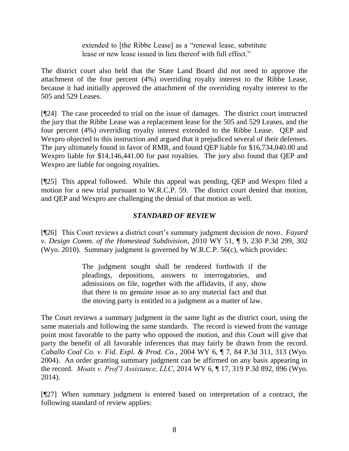extended to [the Ribbe Lease] as a "renewal lease, substitute lease or new lease issued in lieu thereof with full effect."

The district court also held that the State Land Board did not need to approve the attachment of the four percent (4%) overriding royalty interest to the Ribbe Lease, because it had initially approved the attachment of the overriding royalty interest to the 505 and 529 Leases.

[¶24] The case proceeded to trial on the issue of damages. The district court instructed the jury that the Ribbe Lease was a replacement lease for the 505 and 529 Leases, and the four percent (4%) overriding royalty interest extended to the Ribbe Lease. QEP and Wexpro objected to this instruction and argued that it prejudiced several of their defenses. The jury ultimately found in favor of RMR, and found QEP liable for \$16,734,040.00 and Wexpro liable for \$14,146,441.00 for past royalties. The jury also found that QEP and Wexpro are liable for ongoing royalties.

[¶25] This appeal followed. While this appeal was pending, QEP and Wexpro filed a motion for a new trial pursuant to W.R.C.P. 59. The district court denied that motion, and QEP and Wexpro are challenging the denial of that motion as well.

# *STANDARD OF REVIEW*

[¶26] This Court reviews a district court's summary judgment decision *de novo*. *Fayard v. Design Comm. of the Homestead Subdivision*, 2010 WY 51, ¶ 9, 230 P.3d 299, 302 (Wyo. 2010). Summary judgment is governed by W.R.C.P. 56(c), which provides:

> The judgment sought shall be rendered forthwith if the pleadings, depositions, answers to interrogatories, and admissions on file, together with the affidavits, if any, show that there is no genuine issue as to any material fact and that the moving party is entitled to a judgment as a matter of law.

The Court reviews a summary judgment in the same light as the district court, using the same materials and following the same standards. The record is viewed from the vantage point most favorable to the party who opposed the motion, and this Court will give that party the benefit of all favorable inferences that may fairly be drawn from the record. *Caballo Coal Co. v. Fid. Expl. & Prod. Co.*, 2004 WY 6, ¶ 7, 84 P.3d 311, 313 (Wyo. 2004). An order granting summary judgment can be affirmed on any basis appearing in the record. *Moats v. Prof'l Assistance, LLC*, 2014 WY 6, ¶ 17, 319 P.3d 892, 896 (Wyo. 2014).

[¶27] When summary judgment is entered based on interpretation of a contract, the following standard of review applies: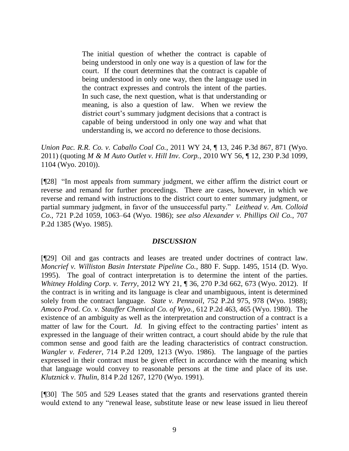The initial question of whether the contract is capable of being understood in only one way is a question of law for the court. If the court determines that the contract is capable of being understood in only one way, then the language used in the contract expresses and controls the intent of the parties. In such case, the next question, what is that understanding or meaning, is also a question of law. When we review the district court's summary judgment decisions that a contract is capable of being understood in only one way and what that understanding is, we accord no deference to those decisions.

*Union Pac. R.R. Co. v. Caballo Coal Co.*, 2011 WY 24, ¶ 13, 246 P.3d 867, 871 (Wyo. 2011) (quoting *M & M Auto Outlet v. Hill Inv. Corp.*, 2010 WY 56, ¶ 12, 230 P.3d 1099, 1104 (Wyo. 2010)).

[¶28] "In most appeals from summary judgment, we either affirm the district court or reverse and remand for further proceedings. There are cases, however, in which we reverse and remand with instructions to the district court to enter summary judgment, or partial summary judgment, in favor of the unsuccessful party." *Leithead v. Am. Colloid Co.*, 721 P.2d 1059, 1063–64 (Wyo. 1986); *see also Alexander v. Phillips Oil Co.*, 707 P.2d 1385 (Wyo. 1985).

### *DISCUSSION*

[¶29] Oil and gas contracts and leases are treated under doctrines of contract law. *Moncrief v. Williston Basin Interstate Pipeline Co.*, 880 F. Supp. 1495, 1514 (D. Wyo. 1995). The goal of contract interpretation is to determine the intent of the parties. *Whitney Holding Corp. v. Terry*, 2012 WY 21, ¶ 36, 270 P.3d 662, 673 (Wyo. 2012). If the contract is in writing and its language is clear and unambiguous, intent is determined solely from the contract language. *State v. Pennzoil*, 752 P.2d 975, 978 (Wyo. 1988); *Amoco Prod. Co. v. Stauffer Chemical Co. of Wyo.*, 612 P.2d 463, 465 (Wyo. 1980). The existence of an ambiguity as well as the interpretation and construction of a contract is a matter of law for the Court. *Id.* In giving effect to the contracting parties' intent as expressed in the language of their written contract, a court should abide by the rule that common sense and good faith are the leading characteristics of contract construction. *Wangler v. Federer*, 714 P.2d 1209, 1213 (Wyo. 1986). The language of the parties expressed in their contract must be given effect in accordance with the meaning which that language would convey to reasonable persons at the time and place of its use. *Klutznick v. Thulin*, 814 P.2d 1267, 1270 (Wyo. 1991).

[¶30] The 505 and 529 Leases stated that the grants and reservations granted therein would extend to any "renewal lease, substitute lease or new lease issued in lieu thereof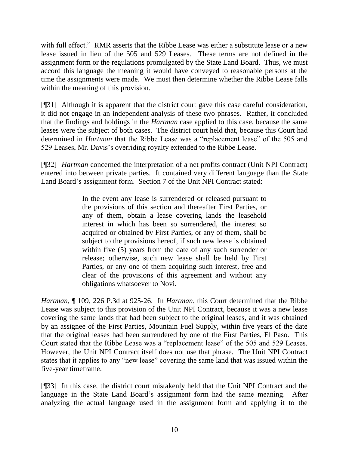with full effect." RMR asserts that the Ribbe Lease was either a substitute lease or a new lease issued in lieu of the 505 and 529 Leases. These terms are not defined in the assignment form or the regulations promulgated by the State Land Board. Thus, we must accord this language the meaning it would have conveyed to reasonable persons at the time the assignments were made. We must then determine whether the Ribbe Lease falls within the meaning of this provision.

[¶31] Although it is apparent that the district court gave this case careful consideration, it did not engage in an independent analysis of these two phrases. Rather, it concluded that the findings and holdings in the *Hartman* case applied to this case, because the same leases were the subject of both cases. The district court held that, because this Court had determined in *Hartman* that the Ribbe Lease was a "replacement lease" of the 505 and 529 Leases, Mr. Davis's overriding royalty extended to the Ribbe Lease.

[¶32] *Hartman* concerned the interpretation of a net profits contract (Unit NPI Contract) entered into between private parties. It contained very different language than the State Land Board's assignment form. Section 7 of the Unit NPI Contract stated:

> In the event any lease is surrendered or released pursuant to the provisions of this section and thereafter First Parties, or any of them, obtain a lease covering lands the leasehold interest in which has been so surrendered, the interest so acquired or obtained by First Parties, or any of them, shall be subject to the provisions hereof, if such new lease is obtained within five (5) years from the date of any such surrender or release; otherwise, such new lease shall be held by First Parties, or any one of them acquiring such interest, free and clear of the provisions of this agreement and without any obligations whatsoever to Novi.

*Hartman*, ¶ 109, 226 P.3d at 925-26. In *Hartman*, this Court determined that the Ribbe Lease was subject to this provision of the Unit NPI Contract, because it was a new lease covering the same lands that had been subject to the original leases, and it was obtained by an assignee of the First Parties, Mountain Fuel Supply, within five years of the date that the original leases had been surrendered by one of the First Parties, El Paso. This Court stated that the Ribbe Lease was a "replacement lease" of the 505 and 529 Leases. However, the Unit NPI Contract itself does not use that phrase. The Unit NPI Contract states that it applies to any "new lease" covering the same land that was issued within the five-year timeframe.

[¶33] In this case, the district court mistakenly held that the Unit NPI Contract and the language in the State Land Board's assignment form had the same meaning. After analyzing the actual language used in the assignment form and applying it to the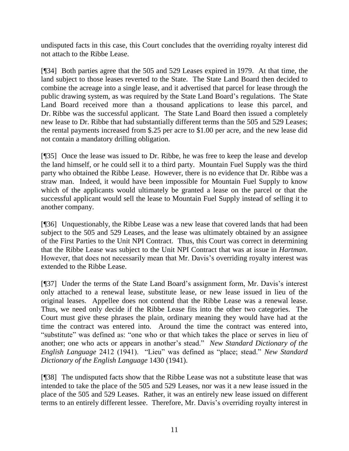undisputed facts in this case, this Court concludes that the overriding royalty interest did not attach to the Ribbe Lease.

[¶34] Both parties agree that the 505 and 529 Leases expired in 1979. At that time, the land subject to those leases reverted to the State. The State Land Board then decided to combine the acreage into a single lease, and it advertised that parcel for lease through the public drawing system, as was required by the State Land Board's regulations. The State Land Board received more than a thousand applications to lease this parcel, and Dr. Ribbe was the successful applicant. The State Land Board then issued a completely new lease to Dr. Ribbe that had substantially different terms than the 505 and 529 Leases; the rental payments increased from \$.25 per acre to \$1.00 per acre, and the new lease did not contain a mandatory drilling obligation.

[¶35] Once the lease was issued to Dr. Ribbe, he was free to keep the lease and develop the land himself, or he could sell it to a third party. Mountain Fuel Supply was the third party who obtained the Ribbe Lease. However, there is no evidence that Dr. Ribbe was a straw man. Indeed, it would have been impossible for Mountain Fuel Supply to know which of the applicants would ultimately be granted a lease on the parcel or that the successful applicant would sell the lease to Mountain Fuel Supply instead of selling it to another company.

[¶36] Unquestionably, the Ribbe Lease was a new lease that covered lands that had been subject to the 505 and 529 Leases, and the lease was ultimately obtained by an assignee of the First Parties to the Unit NPI Contract. Thus, this Court was correct in determining that the Ribbe Lease was subject to the Unit NPI Contract that was at issue in *Hartman*. However, that does not necessarily mean that Mr. Davis's overriding royalty interest was extended to the Ribbe Lease.

[¶37] Under the terms of the State Land Board's assignment form, Mr. Davis's interest only attached to a renewal lease, substitute lease, or new lease issued in lieu of the original leases. Appellee does not contend that the Ribbe Lease was a renewal lease. Thus, we need only decide if the Ribbe Lease fits into the other two categories. The Court must give these phrases the plain, ordinary meaning they would have had at the time the contract was entered into. Around the time the contract was entered into, "substitute" was defined as: "one who or that which takes the place or serves in lieu of another; one who acts or appears in another's stead." *New Standard Dictionary of the English Language* 2412 (1941). "Lieu" was defined as "place; stead." *New Standard Dictionary of the English Language* 1430 (1941).

[¶38] The undisputed facts show that the Ribbe Lease was not a substitute lease that was intended to take the place of the 505 and 529 Leases, nor was it a new lease issued in the place of the 505 and 529 Leases. Rather, it was an entirely new lease issued on different terms to an entirely different lessee. Therefore, Mr. Davis's overriding royalty interest in